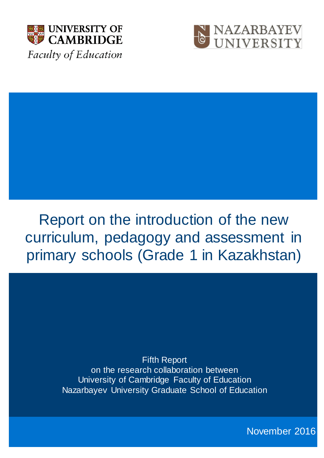



# Report on the introduction of the new curriculum, pedagogy and assessment in primary schools (Grade 1 in Kazakhstan)

Fifth Report on the research collaboration between University of Cambridge Faculty of Education Nazarbayev University Graduate School of Education

November 2016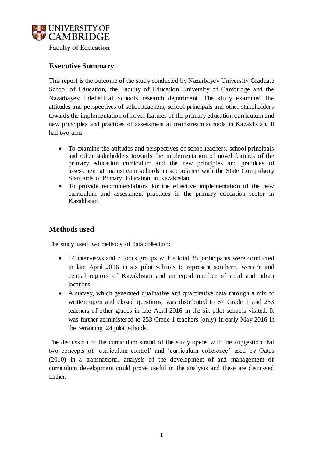

# **Executive Summary**

This report is the outcome of the study conducted by Nazarbayev University Graduate School of Education, the Faculty of Education University of Cambridge and the Nazarbayev Intellectual Schools research department. The study examined the attitudes and perspectives of schoolteachers, school principals and other stakeholders towards the implementation of novel features of the primary education curriculum and new principles and practices of assessment at mainstream schools in Kazakhstan. It had two aims

- To examine the attitudes and perspectives of schoolteachers, school principals and other stakeholders towards the implementation of novel features of the primary education curriculum and the new principles and practices of assessment at mainstream schools in accordance with the State Compulsory Standards of Primary Education in Kazakhstan.
- To provide recommendations for the effective implementation of the new curriculum and assessment practices in the primary education sector in Kazakhstan.

# **Methods used**

The study used two methods of data collection:

- 14 interviews and 7 focus groups with a total 35 participants were conducted in late April 2016 in six pilot schools to represent southern, western and central regions of Kazakhstan and an equal number of rural and urban locations
- A survey, which generated qualitative and quantitative data through a mix of written open and closed questions, was distributed to 67 Grade 1 and 253 teachers of other grades in late April 2016 in the six pilot schools visited. It was further administered to 253 Grade 1 teachers (only) in early May 2016 in the remaining 24 pilot schools.

The discussion of the curriculum strand of the study opens with the suggestion that two concepts of 'curriculum control' and 'curriculum coherence' used by Oates (2010) in a transnational analysis of the development of and management of curriculum development could prove useful in the analysis and these are discussed further.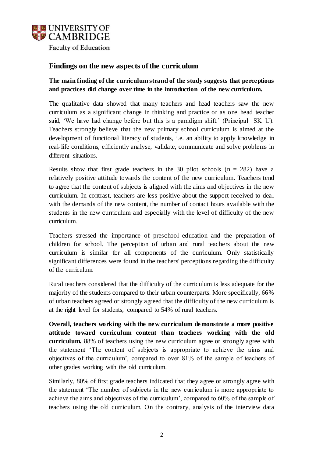

# **Findings on the new aspects of the curriculum**

# **The main finding of the curriculum strand of the study suggests that perceptions and practices did change over time in the introduction of the new curriculum.**

The qualitative data showed that many teachers and head teachers saw the new curriculum as a significant change in thinking and practice or as one head teacher said, 'We have had change before but this is a paradigm shift.' (Principal SK U). Teachers strongly believe that the new primary school curriculum is aimed at the development of functional literacy of students, i.e. an ability to apply knowledge in real-life conditions, efficiently analyse, validate, communicate and solve problems in different situations.

Results show that first grade teachers in the 30 pilot schools  $(n = 282)$  have a relatively positive attitude towards the content of the new curriculum. Teachers tend to agree that the content of subjects is aligned with the aims and objectives in the new curriculum. In contrast, teachers are less positive about the support received to deal with the demands of the new content, the number of contact hours available with the students in the new curriculum and especially with the level of difficulty of the new curriculum.

Teachers stressed the importance of preschool education and the preparation of children for school. The perception of urban and rural teachers about the new curriculum is similar for all components of the curriculum. Only statistically significant differences were found in the teachers' perceptions regarding the difficulty of the curriculum.

Rural teachers considered that the difficulty of the curriculum is less adequate for the majority of the students compared to their urban counterparts. More specifically, 66% of urban teachers agreed or strongly agreed that the difficulty of the new curriculum is at the right level for students, compared to 54% of rural teachers.

**Overall, teachers working with the new curriculum demonstrate a more positive attitude toward curriculum content than teachers working with the old curriculum.** 88% of teachers using the new curriculum agree or strongly agree with the statement 'The content of subjects is appropriate to achieve the aims and objectives of the curriculum', compared to over 81% of the sample of teachers of other grades working with the old curriculum.

Similarly, 80% of first grade teachers indicated that they agree or strongly agree with the statement 'The number of subjects in the new curriculum is more appropriate to achieve the aims and objectives of the curriculum', compared to 60% of the sample of teachers using the old curriculum. On the contrary, analysis of the interview data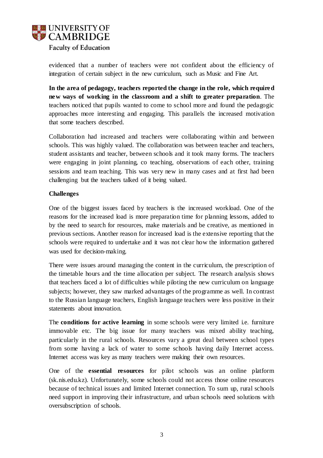

evidenced that a number of teachers were not confident about the efficiency of integration of certain subject in the new curriculum, such as Music and Fine Art.

**In the area of pedagogy, teachers reported the change in the role, which required new ways of working in the classroom and a shift to greater preparation**. The teachers noticed that pupils wanted to come to school more and found the pedagogic approaches more interesting and engaging. This parallels the increased motivation that some teachers described.

Collaboration had increased and teachers were collaborating within and between schools. This was highly valued. The collaboration was between teacher and teachers, student assistants and teacher, between schools and it took many forms. The teachers were engaging in joint planning, co teaching, observations of each other, training sessions and team teaching. This was very new in many cases and at first had been challenging but the teachers talked of it being valued.

#### **Challenges**

One of the biggest issues faced by teachers is the increased workload. One of the reasons for the increased load is more preparation time for planning lessons, added to by the need to search for resources, make materials and be creative, as mentioned in previous sections. Another reason for increased load is the extensive reporting that the schools were required to undertake and it was not clear how the information gathered was used for decision-making.

There were issues around managing the content in the curriculum, the prescription of the timetable hours and the time allocation per subject. The research analysis shows that teachers faced a lot of difficulties while piloting the new curriculum on language subjects; however, they saw marked advantages of the programme as well. In contrast to the Russian language teachers, English language teachers were less positive in their statements about innovation.

The **conditions for active learning** in some schools were very limited i.e. furniture immovable etc. The big issue for many teachers was mixed ability teaching, particularly in the rural schools. Resources vary a great deal between school types from some having a lack of water to some schools having daily Internet access. Internet access was key as many teachers were making their own resources.

One of the **essential resources** for pilot schools was an online platform (sk.nis.edu.kz). Unfortunately, some schools could not access those online resources because of technical issues and limited Internet connection. To sum up, rural schools need support in improving their infrastructure, and urban schools need solutions with oversubscription of schools.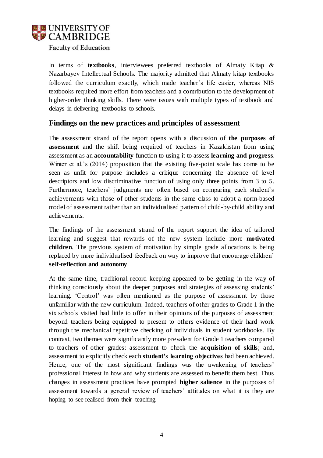

In terms of **textbooks**, interviewees preferred textbooks of Almaty Kitap & Nazarbayev Intellectual Schools. The majority admitted that Almaty kitap textbooks followed the curriculum exactly, which made teacher's life easier, whereas NIS textbooks required more effort from teachers and a contribution to the development of higher-order thinking skills. There were issues with multiple types of textbook and delays in delivering textbooks to schools.

# **Findings on the new practices and principles of assessment**

The assessment strand of the report opens with a discussion of **the purposes of assessment** and the shift being required of teachers in Kazakhstan from using assessment as an **accountability** function to using it to assess **learning and progress**. Winter et al.'s (2014) proposition that the existing five-point scale has come to be seen as unfit for purpose includes a critique concerning the absence of level descriptors and low discriminative function of using only three points from 3 to 5. Furthermore, teachers' judgments are often based on comparing each student's achievements with those of other students in the same class to adopt a norm-based model of assessment rather than an individualised pattern of child-by-child ability and achievements.

The findings of the assessment strand of the report support the idea of tailored learning and suggest that rewards of the new system include more **motivated children**. The previous system of motivation by simple grade allocations is being replaced by more individualised feedback on way to improve that encourage children' **self-reflection and autonomy**.

At the same time, traditional record keeping appeared to be getting in the way of thinking consciously about the deeper purposes and strategies of assessing students' learning. 'Control' was often mentioned as the purpose of assessment by those unfamiliar with the new curriculum. Indeed, teachers of other grades to Grade 1 in the six schools visited had little to offer in their opinions of the purposes of assessment beyond teachers being equipped to present to others evidence of their hard work through the mechanical repetitive checking of individuals in student workbooks. By contrast, two themes were significantly more prevalent for Grade 1 teachers compared to teachers of other grades: assessment to check the **acquisition of skills**; and, assessment to explicitly check each **student's learning objectives** had been achieved. Hence, one of the most significant findings was the awakening of teachers' professional interest in how and why students are assessed to benefit them best. Thus changes in assessment practices have prompted **higher salience** in the purposes of assessment towards a general review of teachers' attitudes on what it is they are hoping to see realised from their teaching.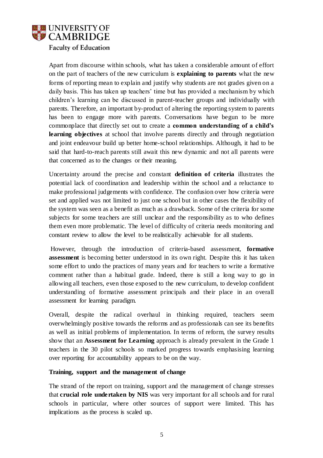

Apart from discourse within schools, what has taken a considerable amount of effort on the part of teachers of the new curriculum is **explaining to parents** what the new forms of reporting mean to explain and justify why students are not grades given on a daily basis. This has taken up teachers' time but has provided a mechanism by which children's learning can be discussed in parent-teacher groups and individually with parents. Therefore, an important by-product of altering the reporting system to parents has been to engage more with parents. Conversations have begun to be more commonplace that directly set out to create a **common understanding of a child's learning objectives** at school that involve parents directly and through negotiation and joint endeavour build up better home-school relationships. Although, it had to be said that hard-to-reach parents still await this new dynamic and not all parents were that concerned as to the changes or their meaning.

Uncertainty around the precise and constant **definition of criteria** illustrates the potential lack of coordination and leadership within the school and a reluctance to make professional judgements with confidence. The confusion over how criteria were set and applied was not limited to just one school but in other cases the flexibility of the system was seen as a benefit as much as a drawback. Some of the criteria for some subjects for some teachers are still unclear and the responsibility as to who defines them even more problematic. The level of difficulty of criteria needs monitoring and constant review to allow the level to be realistically achievable for all students.

However, through the introduction of criteria-based assessment, **formative assessment** is becoming better understood in its own right. Despite this it has taken some effort to undo the practices of many years and for teachers to write a formative comment rather than a habitual grade. Indeed, there is still a long way to go in allowing all teachers, even those exposed to the new curriculum, to develop confident understanding of formative assessment principals and their place in an overall assessment for learning paradigm.

Overall, despite the radical overhaul in thinking required, teachers seem overwhelmingly positive towards the reforms and as professionals can see its benefits as well as initial problems of implementation. In terms of reform, the survey results show that an **Assessment for Learning** approach is already prevalent in the Grade 1 teachers in the 30 pilot schools so marked progress towards emphasising learning over reporting for accountability appears to be on the way.

#### **Training, support and the management of change**

The strand of the report on training, support and the management of change stresses that **crucial role undertaken by NIS** was very important for all schools and for rural schools in particular, where other sources of support were limited. This has implications as the process is scaled up.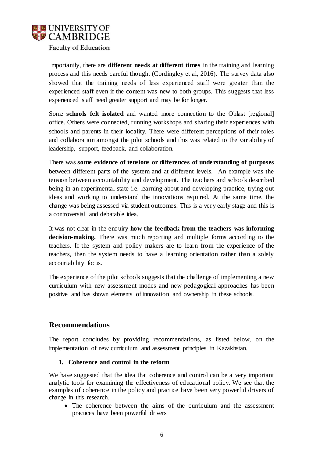

Importantly, there are **different needs at different times** in the training and learning process and this needs careful thought (Cordingley et al, 2016). The survey data also showed that the training needs of less experienced staff were greater than the experienced staff even if the content was new to both groups. This suggests that less experienced staff need greater support and may be for longer.

Some **schools felt isolated** and wanted more connection to the Oblast [regional] office. Others were connected, running workshops and sharing their experiences with schools and parents in their locality. There were different perceptions of their roles and collaboration amongst the pilot schools and this was related to the variability of leadership, support, feedback, and collaboration.

There was **some evidence of tensions or differences of understanding of purposes** between different parts of the system and at different levels. An example was the tension between accountability and development. The teachers and schools described being in an experimental state i.e. learning about and developing practice, trying out ideas and working to understand the innovations required. At the same time, the change was being assessed via student outcomes. This is a very early stage and this is a controversial and debatable idea.

It was not clear in the enquiry **how the feedback from the teachers was informing decision-making.** There was much reporting and multiple forms according to the teachers. If the system and policy makers are to learn from the experience of the teachers, then the system needs to have a learning orientation rather than a solely accountability focus.

The experience of the pilot schools suggests that the challenge of implementing a new curriculum with new assessment modes and new pedagogical approaches has been positive and has shown elements of innovation and ownership in these schools.

# **Recommendations**

The report concludes by providing recommendations, as listed below, on the implementation of new curriculum and assessment principles in Kazakhstan.

## **1. Coherence and control in the reform**

We have suggested that the idea that coherence and control can be a very important analytic tools for examining the effectiveness of educational policy. We see that the examples of coherence in the policy and practice have been very powerful drivers of change in this research.

 The coherence between the aims of the curriculum and the assessment practices have been powerful drivers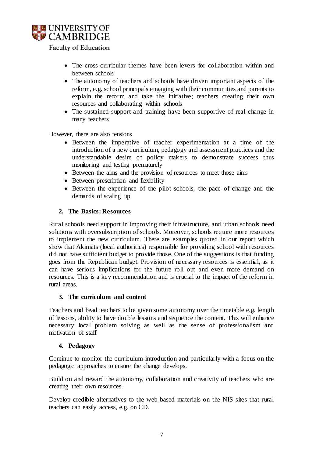

- The cross-curricular themes have been levers for collaboration within and between schools
- The autonomy of teachers and schools have driven important aspects of the reform, e.g. school principals engaging with their communities and parents to explain the reform and take the initiative; teachers creating their own resources and collaborating within schools
- The sustained support and training have been supportive of real change in many teachers

However, there are also tensions

- Between the imperative of teacher experimentation at a time of the introduction of a new curriculum, pedagogy and assessment practices and the understandable desire of policy makers to demonstrate success thus monitoring and testing prematurely
- Between the aims and the provision of resources to meet those aims
- Between prescription and flexibility
- Between the experience of the pilot schools, the pace of change and the demands of scaling up

## **2. The Basics: Resources**

Rural schools need support in improving their infrastructure, and urban schools need solutions with oversubscription of schools. Moreover, schools require more resources to implement the new curriculum. There are examples quoted in our report which show that Akimats (local authorities) responsible for providing school with resources did not have sufficient budget to provide those. One of the suggestions is that funding goes from the Republican budget. Provision of necessary resources is essential, as it can have serious implications for the future roll out and even more demand on resources. This is a key recommendation and is crucial to the impact of the reform in rural areas.

## **3. The curriculum and content**

Teachers and head teachers to be given some autonomy over the timetable e.g. length of lessons, ability to have double lessons and sequence the content. This will enhance necessary local problem solving as well as the sense of professionalism and motivation of staff.

## **4. Pedagogy**

Continue to monitor the curriculum introduction and particularly with a focus on the pedagogic approaches to ensure the change develops.

Build on and reward the autonomy, collaboration and creativity of teachers who are creating their own resources.

Develop credible alternatives to the web based materials on the NIS sites that rural teachers can easily access, e.g. on CD.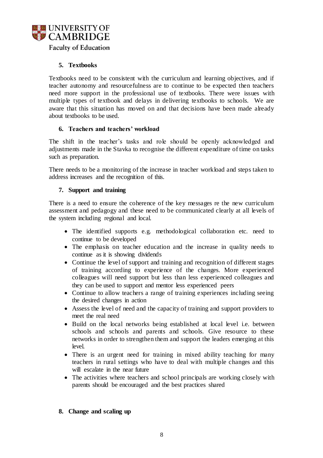

# **5. Textbooks**

Textbooks need to be consistent with the curriculum and learning objectives, and if teacher autonomy and resourcefulness are to continue to be expected then teachers need more support in the professional use of textbooks. There were issues with multiple types of textbook and delays in delivering textbooks to schools. We are aware that this situation has moved on and that decisions have been made already about textbooks to be used.

#### **6. Teachers and teachers' workload**

The shift in the teacher's tasks and role should be openly acknowledged and adjustments made in the Stavka to recognise the different expenditure of time on tasks such as preparation.

There needs to be a monitoring of the increase in teacher workload and steps taken to address increases and the recognition of this.

#### **7. Support and training**

There is a need to ensure the coherence of the key messages re the new curriculum assessment and pedagogy and these need to be communicated clearly at all levels of the system including regional and local.

- The identified supports e.g. methodological collaboration etc. need to continue to be developed
- The emphasis on teacher education and the increase in quality needs to continue as it is showing dividends
- Continue the level of support and training and recognition of different stages of training according to experience of the changes. More experienced colleagues will need support but less than less experienced colleagues and they can be used to support and mentor less experienced peers
- Continue to allow teachers a range of training experiences including seeing the desired changes in action
- Assess the level of need and the capacity of training and support providers to meet the real need
- Build on the local networks being established at local level i.e. between schools and schools and parents and schools. Give resource to these networks in order to strengthen them and support the leaders emerging at this level.
- There is an urgent need for training in mixed ability teaching for many teachers in rural settings who have to deal with multiple changes and this will escalate in the near future
- The activities where teachers and school principals are working closely with parents should be encouraged and the best practices shared

## **8. Change and scaling up**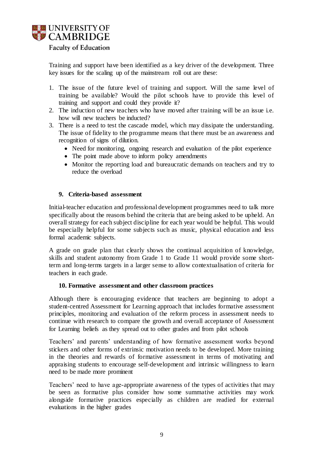

Training and support have been identified as a key driver of the development. Three key issues for the scaling up of the mainstream roll out are these:

- 1. The issue of the future level of training and support. Will the same level of training be available? Would the pilot schools have to provide this level of training and support and could they provide it?
- 2. The induction of new teachers who have moved after training will be an issue i.e. how will new teachers be inducted?
- 3. There is a need to test the cascade model, which may dissipate the understanding. The issue of fidelity to the programme means that there must be an awareness and recognition of signs of dilution.
	- Need for monitoring, ongoing research and evaluation of the pilot experience
	- The point made above to inform policy amendments
	- Monitor the reporting load and bureaucratic demands on teachers and try to reduce the overload

#### **9. Criteria-based assessment**

Initial-teacher education and professional development programmes need to talk more specifically about the reasons behind the criteria that are being asked to be upheld. An overall strategy for each subject discipline for each year would be helpful. This would be especially helpful for some subjects such as music, physical education and less formal academic subjects.

A grade on grade plan that clearly shows the continual acquisition of knowledge, skills and student autonomy from Grade 1 to Grade 11 would provide some shortterm and long-terms targets in a larger sense to allow contextualisation of criteria for teachers in each grade.

#### **10. Formative assessment and other classroom practices**

Although there is encouraging evidence that teachers are beginning to adopt a student-centred Assessment for Learning approach that includes formative assessment principles, monitoring and evaluation of the reform process in assessment needs to continue with research to compare the growth and overall acceptance of Assessment for Learning beliefs as they spread out to other grades and from pilot schools

Teachers' and parents' understanding of how formative assessment works beyond stickers and other forms of extrinsic motivation needs to be developed. More training in the theories and rewards of formative assessment in terms of motivating and appraising students to encourage self-development and intrinsic willingness to learn need to be made more prominent

Teachers' need to have age-appropriate awareness of the types of activities that may be seen as formative plus consider how some summative activities may work alongside formative practices especially as children are readied for external evaluations in the higher grades